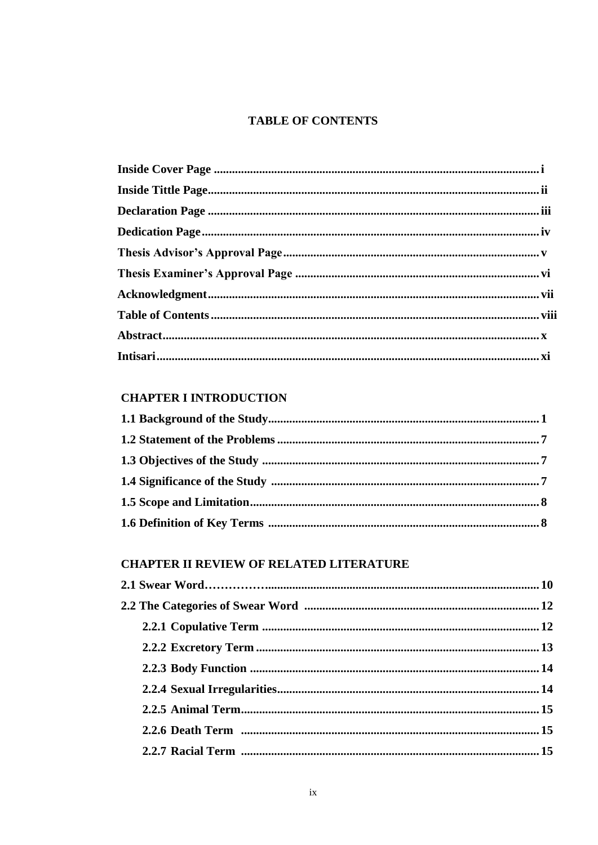### **TABLE OF CONTENTS**

# **CHAPTER I INTRODUCTION**

### **CHAPTER II REVIEW OF RELATED LITERATURE**